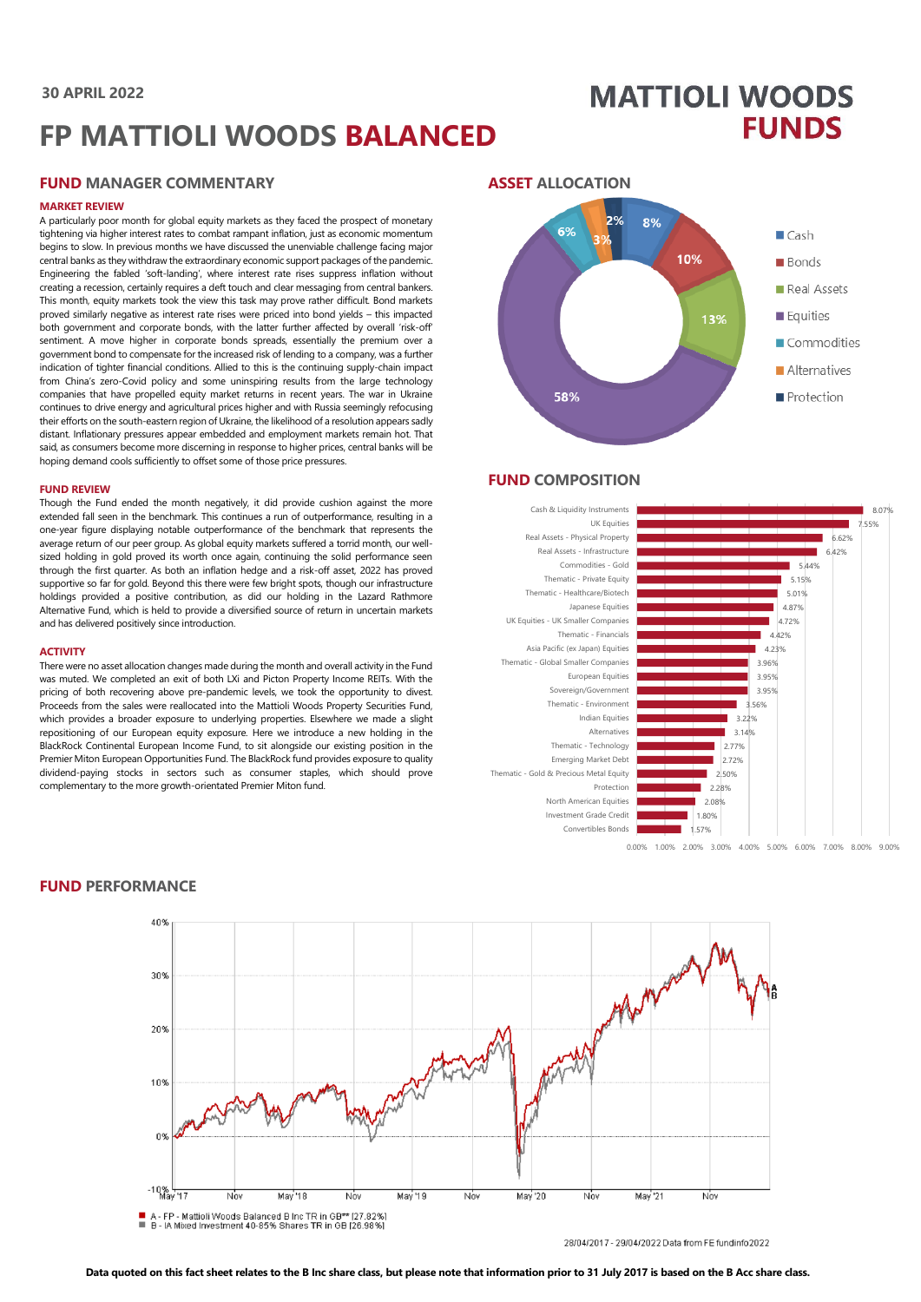## **30 APRIL 2022**

# **FP MATTIOLI WOODS BALANCED**

# **FUND MANAGER COMMENTARY**

#### **MARKET REVIEW**

A particularly poor month for global equity markets as they faced the prospect of monetary tightening via higher interest rates to combat rampant inflation, just as economic momentum begins to slow. In previous months we have discussed the unenviable challenge facing major central banks as they withdraw the extraordinary economic support packages of the pandemic. Engineering the fabled 'soft-landing', where interest rate rises suppress inflation without creating a recession, certainly requires a deft touch and clear messaging from central bankers. This month, equity markets took the view this task may prove rather difficult. Bond markets proved similarly negative as interest rate rises were priced into bond yields – this impacted both government and corporate bonds, with the latter further affected by overall 'risk-off' sentiment. A move higher in corporate bonds spreads, essentially the premium over a government bond to compensate for the increased risk of lending to a company, was a further indication of tighter financial conditions. Allied to this is the continuing supply-chain impact from China's zero-Covid policy and some uninspiring results from the large technology companies that have propelled equity market returns in recent years. The war in Ukraine continues to drive energy and agricultural prices higher and with Russia seemingly refocusing their efforts on the south-eastern region of Ukraine, the likelihood of a resolution appears sadly distant. Inflationary pressures appear embedded and employment markets remain hot. That said, as consumers become more discerning in response to higher prices, central banks will be hoping demand cools sufficiently to offset some of those price pressures.

#### **FUND REVIEW**

Though the Fund ended the month negatively, it did provide cushion against the more extended fall seen in the benchmark. This continues a run of outperformance, resulting in a one-year figure displaying notable outperformance of the benchmark that represents the average return of our peer group. As global equity markets suffered a torrid month, our wellsized holding in gold proved its worth once again, continuing the solid performance seen through the first quarter. As both an inflation hedge and a risk-off asset, 2022 has proved supportive so far for gold. Beyond this there were few bright spots, though our infrastructure holdings provided a positive contribution, as did our holding in the Lazard Rathmore Alternative Fund, which is held to provide a diversified source of return in uncertain markets and has delivered positively since introduction.

#### **ACTIVITY**

There were no asset allocation changes made during the month and overall activity in the Fund was muted. We completed an exit of both LXi and Picton Property Income REITs. With the pricing of both recovering above pre-pandemic levels, we took the opportunity to divest. Proceeds from the sales were reallocated into the Mattioli Woods Property Securities Fund, which provides a broader exposure to underlying properties. Elsewhere we made a slight repositioning of our European equity exposure. Here we introduce a new holding in the BlackRock Continental European Income Fund, to sit alongside our existing position in the Premier Miton European Opportunities Fund. The BlackRock fund provides exposure to quality dividend-paying stocks in sectors such as consumer staples, which should prove complementary to the more growth-orientated Premier Miton fund.

### **ASSET ALLOCATION**



**MATTIOLI WOODS** 

**FUNDS** 

# **FUND COMPOSITION**



0.00% 1.00% 2.00% 3.00% 4.00% 5.00% 6.00% 7.00% 8.00% 9.00%



# **FUND PERFORMANCE**

28/04/2017 - 29/04/2022 Data from FE fundinfo2022